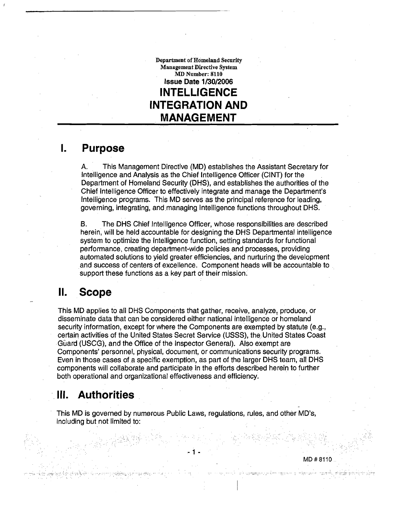**Department of Homeland Security Management Directive System MD Number: 8110 Issue Date 1/30/2006 INTELLIGENCE INTEGRATION AND MANAGEMENT** 

### **I. Purpose**

A. This Management Directive (MD) establishes the Assistant Secretary for lntelligence and Analysis as the Chief lntelligence Officer (CINT) for the Department of Homeland Security (DHS), and establishes the authorities of the Chief lntelligence Officer to effectively integrate and manage the Department's lntelligence programs. This MD serves as the principal reference for leading, governing, integrating, and managing lntelligence functions throughout DHS.

**B.** The DHS Chief lntelligence Officer, whose responsibilities are described herein, will be held accountable for designing the DHS Departmental intelligence system to optimize the lntelligence function, setting standards for functional performance, creating department-wide policies and processes, providing automated solutions to yield greater efficiencies, and nurturing the development and success of centers of excellence. Component heads will be accountable to support these functions as a key part of their mission.

# **11. Scope**

This MD applies to all DHS Components that gather, receive, analyze, produce, or disseminate data that can be considered either national intelligence or homeland security information, except for where the Components are exempted by statute (e.g., certain activities of the United States Secret Service (USSS), the, United States Coast Guard (USCG), and the Office of the Inspector General). Also exempt are Components' personnel, physical, document, or communications security programs. Even in those cases of a specific exemption, as part of the larger DHS team, all DHS components will collaborate and participate in the efforts described herein to further both operational and organizational effectiveness and efficiency.

# **Ill. Authorities**

This MD is governed by numerous Public Laws, regulations, rules, and other MD's, including but not limited to:

MD # 8110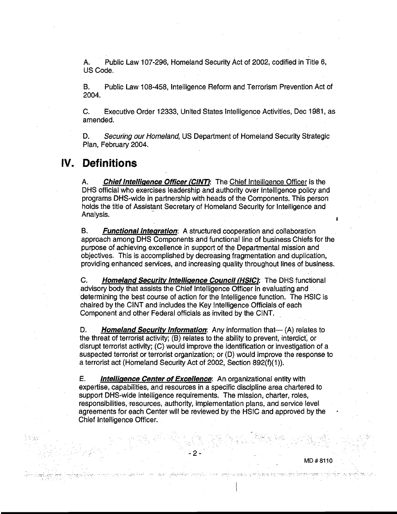A. Public Law 107-296, Homeland Security Act of 2002, codified in Title 6, US Code.

B. Public Law 108-458, lntelligence Reform and Terrorism Prevention Act of 2004.

C. Executive Order 12333, United States lntelligence Activities, Dec 1981, as amended.

D. Securing our Homeland, US Department of Homeland Security Strategic Plan, February 2004.

### **IV. Definitions**

A. **Chief Intelligence Officer (CINT):** The Chief Intelligence Officer is the DHS official who exercises leadership and authority over lntelligence policy and programs DHS-wide in partnership with heads of the Components. This person holds the title of Assistant Secretary of Homeland Security for Intelligence and Analysis. **<sup>t</sup>**

B. **Functional Integration:** A structured cooperation and collaboration approach among DHS Components and functional line of business Chiefs for the purpose of achieving excellence in support of the Departmental mission and objectives. This is accomplished by decreasing fragmentation and duplication, providing enhanced services, and increasing quality throughout lines of business.

C. **Homeland Security Intelligence Council (HSIC):** The DHS functional advisory body that assists the Chief lntelligence Officer in evaluating and determining the best course of action for the lntelligence function. The HSlC is chaired by the CINT and includes the Key lntelligence Officials of each Component and other Federal officials as invited by the CINT.

D. **Homeland Security Information:** Any information that— (A) relates to the threat of terrorist activity; (B) relates to the ability to prevent, interdict; or disrupt terrorist activity; (C) would improve the identification or investigation of a suspected terrorist or terrorist organization; or (D) would improve the response to a terrorist act (Homeland Security Act of 2002, Section 892(f)(1)).

E. **Intelliqence Center of Excellence:** An organizational entity with expertise, capabilities, and resources in a specific discipline area chartered to support DHS-wide intelligence requirements. The mission, charter, roles, responsibilities, resources, authority, implementation plans, and service level agreements for each Center will be reviewed by the HSlC and approved by the Chief lntelligence Officer.

2

MD#8110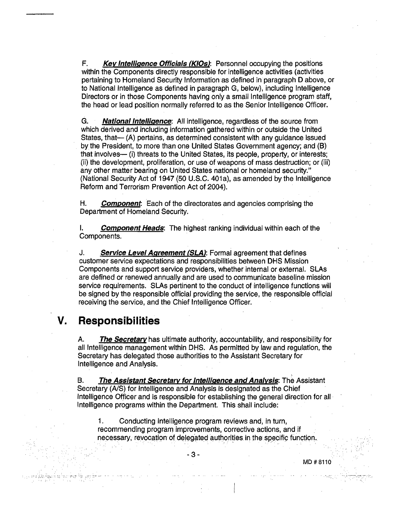F. **Key Intelligence Officials (KIOs):** Personnel occupying the positions within the Components directly responsible for intelligence activities (activities pertaining to Homeland Security Information as defined in paragraph D above, or to National lntelligence as defined in paragraph G, below), including lntelligence Directors or in those Components having only a small lntelligence program staff, the head or lead position normally referred to as the Senior lntelligence Officer.

G. **National Intelligence:** All intelligence, regardless of the source from which derived and including information gathered within or outside the United States, that $-$  (A) pertains, as determined consistent with any guidance issued by the President, to more than one United States Government agency; and (B) that involves- (i) threats to the United States, its people, property, or interests; (ii) the development, proliferation, or use of weapons of mass destruction; or (iii) any other matter bearing on United States national or homeland security." (National Security Act of 1947 (50 U.S.C. 401a), as amended by the Intelligence Reform and Terrorism Prevention Act of 2004).

H. **Component** Each of the directorates and agencies comprising the Department of Homeland Security.

I. **Component Heads:** The highest ranking individual within each of the Components.

J. **Service Level Aareement (SLA):** Formal agreement that defines customer service expectations and responsibilities between DHS Mission Components and support service providers, whether internal or external. SLAs are defined or renewed annually and are used to communicate baseline mission service requirements. SLAs pertinent to the conduct of intelligence functions will be signed by the responsible official providing the service, the responsible official receiving the service, and the Chief lntelligence Officer.

## **V. Responsibilities**

A. **The Secretarv** has ultimate authority, accountability, and responsibility for all lntelligence management within DHS. As permitted by law and regulation, the Secretary has delegated those authorities to the Assistant Secretary for lntelligence and Analysis.

B. The Assistant Secretary for Intelligence and Analysis: The Assistant Secretary (A/S) for Intelligence and Analysis is designated as the Chief lntelligence Officer and is responsible for establishing the general direction for all lntelligence programs within the Department. This shall include:

1. Conducting lntelligence program reviews and, in turn, recommending program improvements, corrective actions, and if necessary, revocation of delegated authorities in the specific function.

ل البلاد.<br><del>برمضان المرضى المرض المرضى المرضى المرضى المرضى المرضى المرضى المرضى المرضى المرضى المرضى المرضى المرضى المرضى</del>

I

**-3-** 

MD # 8110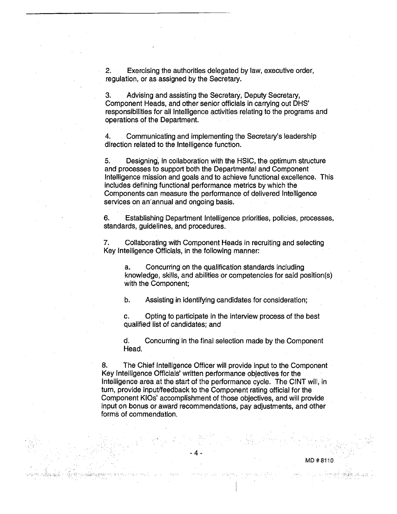**2.** Exercising the authorities delegated by law, executive order, regulation, or as assigned by the Secretary.

**3.** Advising and assisting the Secretary, Deputy Secretary, Component Heads, and other senior officials in carrying out DHS' responsibilities for all lntelligence activities relating to the programs and operations of the Department.

**4.** Communicating and implementing the Secretary's leadership direction related to the lntelligence function.

5. Designing; in collaboration with the HSIC, the optimum structure and processes to support both the Departmental and Component lntelligence mission and goals and to achieve functional excellence. This includes defining functional performance metrics by which the Components can measure the performance of delivered Intelligence services on an'annual and ongoing basis.

**6.** Establishing Department lntelligence priorities, policies, processes, standards, guidelines, and procedures.

**7.** Collaborating with Component Heads in recruiting and selecting Key lntelligence Officials, in the following manner:

a. Concurring on the quatification standards including knowledge, skills, and abilities or competencies for said position(s) with the Component;

b. Assisting in identifying candidates for consideration;

c. Opting to participate in the interview process of the best qualified list of candidates; and

d. Concurring in the final selection made by the Component Head.

**8.** The Chief lntelligence Officer will provide input to the Component Key lntelligence Officials' written performance objectives for the lntelligence area at the start of the performance cycle. 'The ClNT will, in turn, provide input/feedback to the Component rating official for the Component KlOs' accomplishment of those objectives, and will provide input on bonus or award recommendations, pay adjustments, and other forms of commendation.

MD #8110